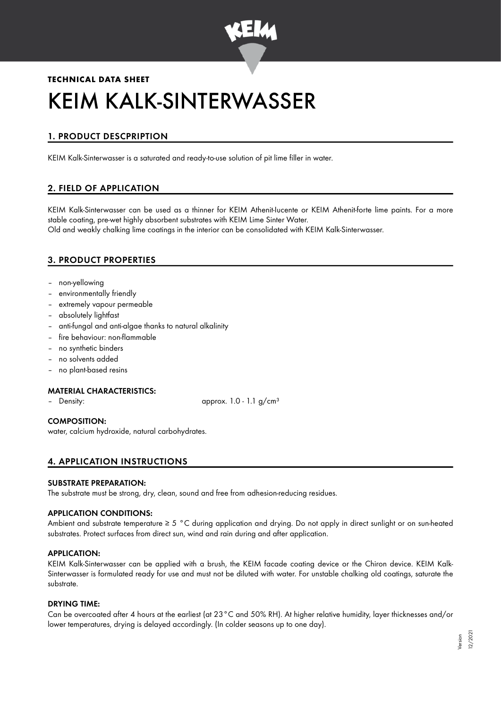

# **TECHNICAL DATA SHEET** KEIM KALK-SINTERWASSER

# 1. PRODUCT DESCPRIPTION

KEIM Kalk-Sinterwasser is a saturated and ready-to-use solution of pit lime filler in water.

# 2. FIELD OF APPLICATION

KEIM Kalk-Sinterwasser can be used as a thinner for KEIM Athenit-Iucente or KEIM Athenit-forte lime paints. For a more stable coating, pre-wet highly absorbent substrates with KEIM Lime Sinter Water. Old and weakly chalking lime coatings in the interior can be consolidated with KEIM Kalk-Sinterwasser.

# 3. PRODUCT PROPERTIES

- non-yellowing
- environmentally friendly
- extremely vapour permeable
- absolutely lightfast
- anti-fungal and anti-algae thanks to natural alkalinity
- fire behaviour: non-flammable
- no synthetic binders
- no solvents added
- no plant-based resins

#### MATERIAL CHARACTERISTICS:

Density:  $\qquad \qquad \text{approx. 1.0 - 1.1 }$  g/cm<sup>3</sup>

#### COMPOSITION:

water, calcium hydroxide, natural carbohydrates.

# 4. APPLICATION INSTRUCTIONS

#### SUBSTRATE PREPARATION:

The substrate must be strong, dry, clean, sound and free from adhesion-reducing residues.

#### APPLICATION CONDITIONS:

Ambient and substrate temperature ≥ 5 °C during application and drying. Do not apply in direct sunlight or on sun-heated substrates. Protect surfaces from direct sun, wind and rain during and after application.

#### APPLICATION:

KEIM Kalk-Sinterwasser can be applied with a brush, the KEIM facade coating device or the Chiron device. KEIM Kalk-Sinterwasser is formulated ready for use and must not be diluted with water. For unstable chalking old coatings, saturate the substrate.

#### DRYING TIME:

Can be overcoated after 4 hours at the earliest (at 23°C and 50% RH). At higher relative humidity, layer thicknesses and/or lower temperatures, drying is delayed accordingly. (In colder seasons up to one day).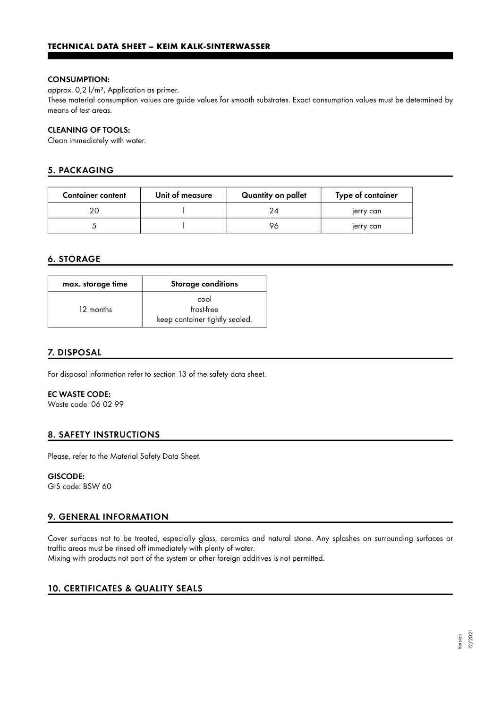#### CONSUMPTION:

approx. 0,2 l/m², Application as primer.

These material consumption values are guide values for smooth substrates. Exact consumption values must be determined by means of test areas.

#### CLEANING OF TOOLS:

Clean immediately with water.

## 5. PACKAGING

| <b>Container content</b> | Unit of measure | Quantity on pallet | Type of container |
|--------------------------|-----------------|--------------------|-------------------|
|                          |                 | 24                 | jerry can         |
|                          |                 | 96                 | jerry can         |

## 6. STORAGE

| max. storage time | <b>Storage conditions</b>                            |  |
|-------------------|------------------------------------------------------|--|
| 12 months         | cool<br>frost-free<br>keep container tightly sealed. |  |

### 7. DISPOSAL

For disposal information refer to section 13 of the safety data sheet.

#### EC WASTE CODE:

Waste code: 06 02 99

#### 8. SAFETY INSTRUCTIONS

Please, refer to the Material Safety Data Sheet.

#### GISCODE:

GIS code: BSW 60

# 9. GENERAL INFORMATION

Cover surfaces not to be treated, especially glass, ceramics and natural stone. Any splashes on surrounding surfaces or traffic areas must be rinsed off immediately with plenty of water.

Mixing with products not part of the system or other foreign additives is not permitted.

# 10. CERTIFICATES & QUALITY SEALS